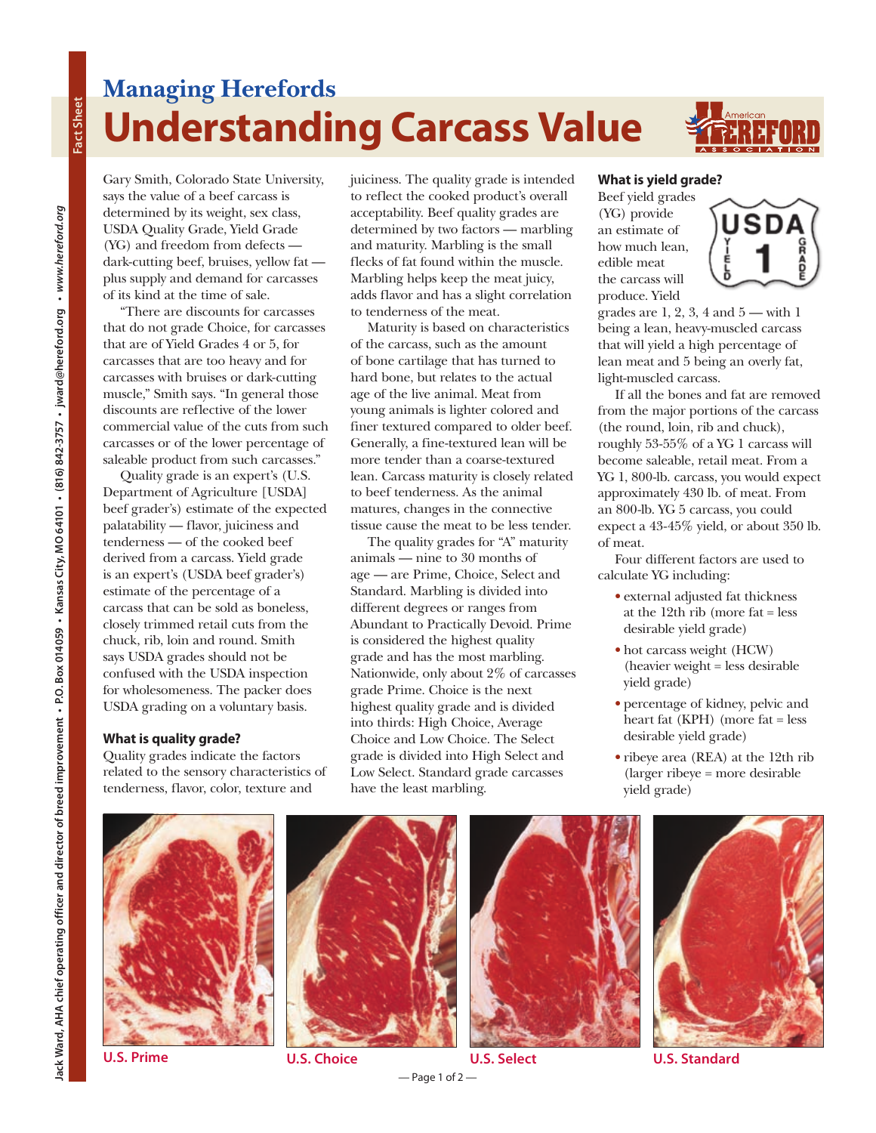## **Managing Herefords Understanding Carcass Value**



**Fact Sheet**

Fact Sheet

Gary Smith, Colorado State University, says the value of a beef carcass is determined by its weight, sex class, USDA Quality Grade, Yield Grade (YG) and freedom from defects dark-cutting beef, bruises, yellow fat plus supply and demand for carcasses of its kind at the time of sale.

There are discounts for carcasses that do not grade Choice, for carcasses that are of Yield Grades 4 or 5, for carcasses that are too heavy and for carcasses with bruises or dark-cutting muscle," Smith says. "In general those discounts are reflective of the lower commercial value of the cuts from such carcasses or of the lower percentage of saleable product from such carcasses."

Quality grade is an expert's (U.S. Department of Agriculture [USDA] beef grader's) estimate of the expected palatability — flavor, juiciness and tenderness — of the cooked beef derived from a carcass. Yield grade is an expert's (USDA beef grader's) estimate of the percentage of a carcass that can be sold as boneless, closely trimmed retail cuts from the chuck, rib, loin and round. Smith says USDA grades should not be confused with the USDA inspection for wholesomeness. The packer does USDA grading on a voluntary basis.

## **What is quality grade?**

Quality grades indicate the factors related to the sensory characteristics of tenderness, flavor, color, texture and

juiciness. The quality grade is intended to reflect the cooked product's overall acceptability. Beef quality grades are determined by two factors — marbling and maturity. Marbling is the small flecks of fat found within the muscle. Marbling helps keep the meat juicy, adds flavor and has a slight correlation to tenderness of the meat.

Maturity is based on characteristics of the carcass, such as the amount of bone cartilage that has turned to hard bone, but relates to the actual age of the live animal. Meat from young animals is lighter colored and finer textured compared to older beef. Generally, a fine-textured lean will be more tender than a coarse-textured lean. Carcass maturity is closely related to beef tenderness. As the animal matures, changes in the connective tissue cause the meat to be less tender.

The quality grades for "A" maturity animals — nine to 30 months of age — are Prime, Choice, Select and Standard. Marbling is divided into different degrees or ranges from Abundant to Practically Devoid. Prime is considered the highest quality grade and has the most marbling. Nationwide, only about 2% of carcasses grade Prime. Choice is the next highest quality grade and is divided into thirds: High Choice, Average Choice and Low Choice. The Select grade is divided into High Select and Low Select. Standard grade carcasses have the least marbling.

## **What is yield grade?**

Beef yield grades (YG) provide an estimate of how much lean, edible meat the carcass will produce. Yield



grades are  $1, 2, 3, 4$  and  $5 -$  with 1 being a lean, heavy-muscled carcass that will yield a high percentage of lean meat and 5 being an overly fat, light-muscled carcass.

If all the bones and fat are removed from the major portions of the carcass (the round, loin, rib and chuck), roughly 53-55% of a YG 1 carcass will become saleable, retail meat. From a YG 1, 800-lb. carcass, you would expect approximately 430 lb. of meat. From an 800-lb. YG 5 carcass, you could expect a 43-45% yield, or about 350 lb. of meat.

Four different factors are used to calculate YG including:

- **•** external adjusted fat thickness at the 12th rib (more fat = less desirable yield grade)
- **•** hot carcass weight (HCW) (heavier weight = less desirable yield grade)
- **•** percentage of kidney, pelvic and heart fat (KPH) (more fat = less desirable yield grade)
- **•** ribeye area (REA) at the 12th rib (larger ribeye = more desirable yield grade)









**U.S. Prime U.S. Choice U.S. Select U.S. Standard**

 $-$  Page 1 of 2 $-$